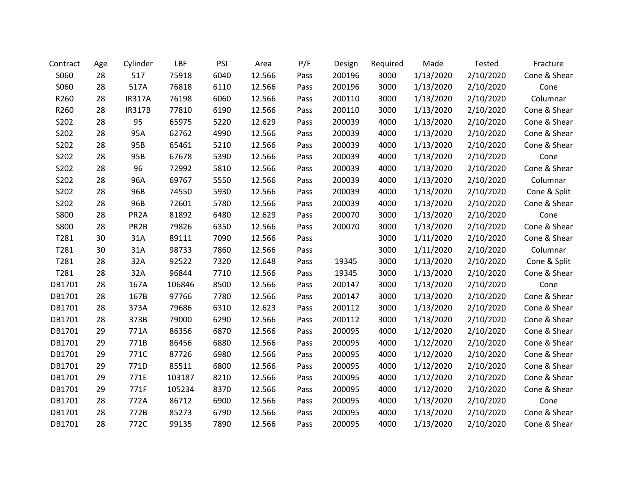| Contract    | Age | Cylinder          | LBF    | PSI  | Area   | P/F  | Design | Required | Made      | <b>Tested</b> | Fracture     |
|-------------|-----|-------------------|--------|------|--------|------|--------|----------|-----------|---------------|--------------|
| S060        | 28  | 517               | 75918  | 6040 | 12.566 | Pass | 200196 | 3000     | 1/13/2020 | 2/10/2020     | Cone & Shear |
| S060        | 28  | 517A              | 76818  | 6110 | 12.566 | Pass | 200196 | 3000     | 1/13/2020 | 2/10/2020     | Cone         |
| R260        | 28  | <b>IR317A</b>     | 76198  | 6060 | 12.566 | Pass | 200110 | 3000     | 1/13/2020 | 2/10/2020     | Columnar     |
| R260        | 28  | <b>IR317B</b>     | 77810  | 6190 | 12.566 | Pass | 200110 | 3000     | 1/13/2020 | 2/10/2020     | Cone & Shear |
| S202        | 28  | 95                | 65975  | 5220 | 12.629 | Pass | 200039 | 4000     | 1/13/2020 | 2/10/2020     | Cone & Shear |
| S202        | 28  | 95A               | 62762  | 4990 | 12.566 | Pass | 200039 | 4000     | 1/13/2020 | 2/10/2020     | Cone & Shear |
| S202        | 28  | 95B               | 65461  | 5210 | 12.566 | Pass | 200039 | 4000     | 1/13/2020 | 2/10/2020     | Cone & Shear |
| S202        | 28  | 95B               | 67678  | 5390 | 12.566 | Pass | 200039 | 4000     | 1/13/2020 | 2/10/2020     | Cone         |
| S202        | 28  | 96                | 72992  | 5810 | 12.566 | Pass | 200039 | 4000     | 1/13/2020 | 2/10/2020     | Cone & Shear |
| S202        | 28  | 96A               | 69767  | 5550 | 12.566 | Pass | 200039 | 4000     | 1/13/2020 | 2/10/2020     | Columnar     |
| S202        | 28  | 96B               | 74550  | 5930 | 12.566 | Pass | 200039 | 4000     | 1/13/2020 | 2/10/2020     | Cone & Split |
| S202        | 28  | 96B               | 72601  | 5780 | 12.566 | Pass | 200039 | 4000     | 1/13/2020 | 2/10/2020     | Cone & Shear |
| S800        | 28  | PR <sub>2</sub> A | 81892  | 6480 | 12.629 | Pass | 200070 | 3000     | 1/13/2020 | 2/10/2020     | Cone         |
| <b>S800</b> | 28  | PR <sub>2</sub> B | 79826  | 6350 | 12.566 | Pass | 200070 | 3000     | 1/13/2020 | 2/10/2020     | Cone & Shear |
| T281        | 30  | 31A               | 89111  | 7090 | 12.566 | Pass |        | 3000     | 1/11/2020 | 2/10/2020     | Cone & Shear |
| T281        | 30  | 31A               | 98733  | 7860 | 12.566 | Pass |        | 3000     | 1/11/2020 | 2/10/2020     | Columnar     |
| T281        | 28  | 32A               | 92522  | 7320 | 12.648 | Pass | 19345  | 3000     | 1/13/2020 | 2/10/2020     | Cone & Split |
| T281        | 28  | 32A               | 96844  | 7710 | 12.566 | Pass | 19345  | 3000     | 1/13/2020 | 2/10/2020     | Cone & Shear |
| DB1701      | 28  | 167A              | 106846 | 8500 | 12.566 | Pass | 200147 | 3000     | 1/13/2020 | 2/10/2020     | Cone         |
| DB1701      | 28  | 167B              | 97766  | 7780 | 12.566 | Pass | 200147 | 3000     | 1/13/2020 | 2/10/2020     | Cone & Shear |
| DB1701      | 28  | 373A              | 79686  | 6310 | 12.623 | Pass | 200112 | 3000     | 1/13/2020 | 2/10/2020     | Cone & Shear |
| DB1701      | 28  | 373B              | 79000  | 6290 | 12.566 | Pass | 200112 | 3000     | 1/13/2020 | 2/10/2020     | Cone & Shear |
| DB1701      | 29  | 771A              | 86356  | 6870 | 12.566 | Pass | 200095 | 4000     | 1/12/2020 | 2/10/2020     | Cone & Shear |
| DB1701      | 29  | 771B              | 86456  | 6880 | 12.566 | Pass | 200095 | 4000     | 1/12/2020 | 2/10/2020     | Cone & Shear |
| DB1701      | 29  | 771C              | 87726  | 6980 | 12.566 | Pass | 200095 | 4000     | 1/12/2020 | 2/10/2020     | Cone & Shear |
| DB1701      | 29  | 771D              | 85511  | 6800 | 12.566 | Pass | 200095 | 4000     | 1/12/2020 | 2/10/2020     | Cone & Shear |
| DB1701      | 29  | 771E              | 103187 | 8210 | 12.566 | Pass | 200095 | 4000     | 1/12/2020 | 2/10/2020     | Cone & Shear |
| DB1701      | 29  | 771F              | 105234 | 8370 | 12.566 | Pass | 200095 | 4000     | 1/12/2020 | 2/10/2020     | Cone & Shear |
| DB1701      | 28  | 772A              | 86712  | 6900 | 12.566 | Pass | 200095 | 4000     | 1/13/2020 | 2/10/2020     | Cone         |
| DB1701      | 28  | 772B              | 85273  | 6790 | 12.566 | Pass | 200095 | 4000     | 1/13/2020 | 2/10/2020     | Cone & Shear |
| DB1701      | 28  | 772C              | 99135  | 7890 | 12.566 | Pass | 200095 | 4000     | 1/13/2020 | 2/10/2020     | Cone & Shear |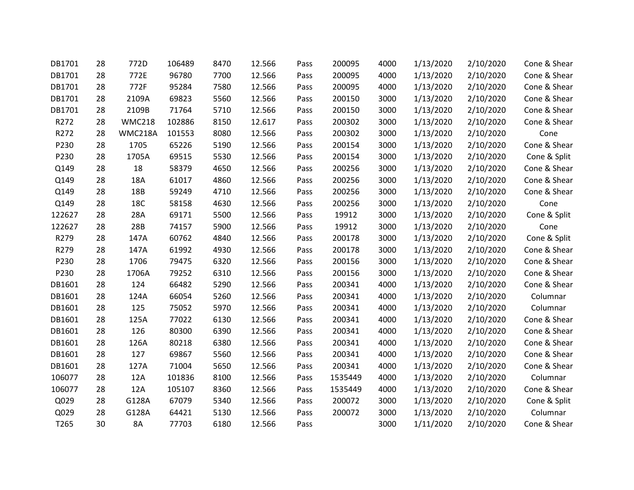| DB1701           | 28 | 772D          | 106489 | 8470 | 12.566 | Pass | 200095  | 4000 | 1/13/2020 | 2/10/2020 | Cone & Shear |
|------------------|----|---------------|--------|------|--------|------|---------|------|-----------|-----------|--------------|
| DB1701           | 28 | 772E          | 96780  | 7700 | 12.566 | Pass | 200095  | 4000 | 1/13/2020 | 2/10/2020 | Cone & Shear |
| DB1701           | 28 | 772F          | 95284  | 7580 | 12.566 | Pass | 200095  | 4000 | 1/13/2020 | 2/10/2020 | Cone & Shear |
| DB1701           | 28 | 2109A         | 69823  | 5560 | 12.566 | Pass | 200150  | 3000 | 1/13/2020 | 2/10/2020 | Cone & Shear |
| DB1701           | 28 | 2109B         | 71764  | 5710 | 12.566 | Pass | 200150  | 3000 | 1/13/2020 | 2/10/2020 | Cone & Shear |
| R272             | 28 | <b>WMC218</b> | 102886 | 8150 | 12.617 | Pass | 200302  | 3000 | 1/13/2020 | 2/10/2020 | Cone & Shear |
| R272             | 28 | WMC218A       | 101553 | 8080 | 12.566 | Pass | 200302  | 3000 | 1/13/2020 | 2/10/2020 | Cone         |
| P230             | 28 | 1705          | 65226  | 5190 | 12.566 | Pass | 200154  | 3000 | 1/13/2020 | 2/10/2020 | Cone & Shear |
| P230             | 28 | 1705A         | 69515  | 5530 | 12.566 | Pass | 200154  | 3000 | 1/13/2020 | 2/10/2020 | Cone & Split |
| Q149             | 28 | 18            | 58379  | 4650 | 12.566 | Pass | 200256  | 3000 | 1/13/2020 | 2/10/2020 | Cone & Shear |
| Q149             | 28 | 18A           | 61017  | 4860 | 12.566 | Pass | 200256  | 3000 | 1/13/2020 | 2/10/2020 | Cone & Shear |
| Q149             | 28 | 18B           | 59249  | 4710 | 12.566 | Pass | 200256  | 3000 | 1/13/2020 | 2/10/2020 | Cone & Shear |
| Q149             | 28 | 18C           | 58158  | 4630 | 12.566 | Pass | 200256  | 3000 | 1/13/2020 | 2/10/2020 | Cone         |
| 122627           | 28 | 28A           | 69171  | 5500 | 12.566 | Pass | 19912   | 3000 | 1/13/2020 | 2/10/2020 | Cone & Split |
| 122627           | 28 | 28B           | 74157  | 5900 | 12.566 | Pass | 19912   | 3000 | 1/13/2020 | 2/10/2020 | Cone         |
| R279             | 28 | 147A          | 60762  | 4840 | 12.566 | Pass | 200178  | 3000 | 1/13/2020 | 2/10/2020 | Cone & Split |
| R279             | 28 | 147A          | 61992  | 4930 | 12.566 | Pass | 200178  | 3000 | 1/13/2020 | 2/10/2020 | Cone & Shear |
| P230             | 28 | 1706          | 79475  | 6320 | 12.566 | Pass | 200156  | 3000 | 1/13/2020 | 2/10/2020 | Cone & Shear |
| P230             | 28 | 1706A         | 79252  | 6310 | 12.566 | Pass | 200156  | 3000 | 1/13/2020 | 2/10/2020 | Cone & Shear |
| DB1601           | 28 | 124           | 66482  | 5290 | 12.566 | Pass | 200341  | 4000 | 1/13/2020 | 2/10/2020 | Cone & Shear |
| DB1601           | 28 | 124A          | 66054  | 5260 | 12.566 | Pass | 200341  | 4000 | 1/13/2020 | 2/10/2020 | Columnar     |
| DB1601           | 28 | 125           | 75052  | 5970 | 12.566 | Pass | 200341  | 4000 | 1/13/2020 | 2/10/2020 | Columnar     |
| DB1601           | 28 | 125A          | 77022  | 6130 | 12.566 | Pass | 200341  | 4000 | 1/13/2020 | 2/10/2020 | Cone & Shear |
| DB1601           | 28 | 126           | 80300  | 6390 | 12.566 | Pass | 200341  | 4000 | 1/13/2020 | 2/10/2020 | Cone & Shear |
| DB1601           | 28 | 126A          | 80218  | 6380 | 12.566 | Pass | 200341  | 4000 | 1/13/2020 | 2/10/2020 | Cone & Shear |
| DB1601           | 28 | 127           | 69867  | 5560 | 12.566 | Pass | 200341  | 4000 | 1/13/2020 | 2/10/2020 | Cone & Shear |
| DB1601           | 28 | 127A          | 71004  | 5650 | 12.566 | Pass | 200341  | 4000 | 1/13/2020 | 2/10/2020 | Cone & Shear |
| 106077           | 28 | 12A           | 101836 | 8100 | 12.566 | Pass | 1535449 | 4000 | 1/13/2020 | 2/10/2020 | Columnar     |
| 106077           | 28 | 12A           | 105107 | 8360 | 12.566 | Pass | 1535449 | 4000 | 1/13/2020 | 2/10/2020 | Cone & Shear |
| Q029             | 28 | G128A         | 67079  | 5340 | 12.566 | Pass | 200072  | 3000 | 1/13/2020 | 2/10/2020 | Cone & Split |
| Q029             | 28 | G128A         | 64421  | 5130 | 12.566 | Pass | 200072  | 3000 | 1/13/2020 | 2/10/2020 | Columnar     |
| T <sub>265</sub> | 30 | 8A            | 77703  | 6180 | 12.566 | Pass |         | 3000 | 1/11/2020 | 2/10/2020 | Cone & Shear |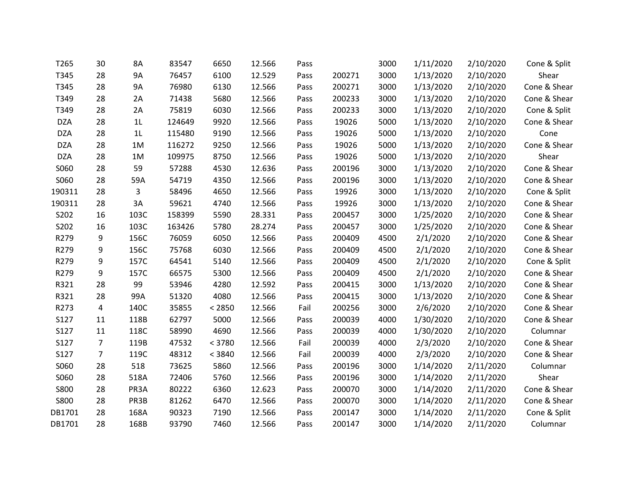| T265        | 30             | 8A             | 83547  | 6650   | 12.566 | Pass |        | 3000 | 1/11/2020 | 2/10/2020 | Cone & Split |
|-------------|----------------|----------------|--------|--------|--------|------|--------|------|-----------|-----------|--------------|
| T345        | 28             | <b>9A</b>      | 76457  | 6100   | 12.529 | Pass | 200271 | 3000 | 1/13/2020 | 2/10/2020 | Shear        |
| T345        | 28             | <b>9A</b>      | 76980  | 6130   | 12.566 | Pass | 200271 | 3000 | 1/13/2020 | 2/10/2020 | Cone & Shear |
| T349        | 28             | 2A             | 71438  | 5680   | 12.566 | Pass | 200233 | 3000 | 1/13/2020 | 2/10/2020 | Cone & Shear |
| T349        | 28             | 2A             | 75819  | 6030   | 12.566 | Pass | 200233 | 3000 | 1/13/2020 | 2/10/2020 | Cone & Split |
| <b>DZA</b>  | 28             | 1 <sub>L</sub> | 124649 | 9920   | 12.566 | Pass | 19026  | 5000 | 1/13/2020 | 2/10/2020 | Cone & Shear |
| <b>DZA</b>  | 28             | 1 <sub>L</sub> | 115480 | 9190   | 12.566 | Pass | 19026  | 5000 | 1/13/2020 | 2/10/2020 | Cone         |
| <b>DZA</b>  | 28             | 1M             | 116272 | 9250   | 12.566 | Pass | 19026  | 5000 | 1/13/2020 | 2/10/2020 | Cone & Shear |
| <b>DZA</b>  | 28             | 1M             | 109975 | 8750   | 12.566 | Pass | 19026  | 5000 | 1/13/2020 | 2/10/2020 | Shear        |
| S060        | 28             | 59             | 57288  | 4530   | 12.636 | Pass | 200196 | 3000 | 1/13/2020 | 2/10/2020 | Cone & Shear |
| S060        | 28             | 59A            | 54719  | 4350   | 12.566 | Pass | 200196 | 3000 | 1/13/2020 | 2/10/2020 | Cone & Shear |
| 190311      | 28             | 3              | 58496  | 4650   | 12.566 | Pass | 19926  | 3000 | 1/13/2020 | 2/10/2020 | Cone & Split |
| 190311      | 28             | 3A             | 59621  | 4740   | 12.566 | Pass | 19926  | 3000 | 1/13/2020 | 2/10/2020 | Cone & Shear |
| S202        | 16             | 103C           | 158399 | 5590   | 28.331 | Pass | 200457 | 3000 | 1/25/2020 | 2/10/2020 | Cone & Shear |
| S202        | 16             | 103C           | 163426 | 5780   | 28.274 | Pass | 200457 | 3000 | 1/25/2020 | 2/10/2020 | Cone & Shear |
| R279        | 9              | 156C           | 76059  | 6050   | 12.566 | Pass | 200409 | 4500 | 2/1/2020  | 2/10/2020 | Cone & Shear |
| R279        | 9              | 156C           | 75768  | 6030   | 12.566 | Pass | 200409 | 4500 | 2/1/2020  | 2/10/2020 | Cone & Shear |
| R279        | 9              | 157C           | 64541  | 5140   | 12.566 | Pass | 200409 | 4500 | 2/1/2020  | 2/10/2020 | Cone & Split |
| R279        | 9              | 157C           | 66575  | 5300   | 12.566 | Pass | 200409 | 4500 | 2/1/2020  | 2/10/2020 | Cone & Shear |
| R321        | 28             | 99             | 53946  | 4280   | 12.592 | Pass | 200415 | 3000 | 1/13/2020 | 2/10/2020 | Cone & Shear |
| R321        | 28             | 99A            | 51320  | 4080   | 12.566 | Pass | 200415 | 3000 | 1/13/2020 | 2/10/2020 | Cone & Shear |
| R273        | 4              | 140C           | 35855  | < 2850 | 12.566 | Fail | 200256 | 3000 | 2/6/2020  | 2/10/2020 | Cone & Shear |
| S127        | 11             | 118B           | 62797  | 5000   | 12.566 | Pass | 200039 | 4000 | 1/30/2020 | 2/10/2020 | Cone & Shear |
| S127        | 11             | 118C           | 58990  | 4690   | 12.566 | Pass | 200039 | 4000 | 1/30/2020 | 2/10/2020 | Columnar     |
| S127        | $\overline{7}$ | 119B           | 47532  | < 3780 | 12.566 | Fail | 200039 | 4000 | 2/3/2020  | 2/10/2020 | Cone & Shear |
| S127        | $\overline{7}$ | 119C           | 48312  | < 3840 | 12.566 | Fail | 200039 | 4000 | 2/3/2020  | 2/10/2020 | Cone & Shear |
| S060        | 28             | 518            | 73625  | 5860   | 12.566 | Pass | 200196 | 3000 | 1/14/2020 | 2/11/2020 | Columnar     |
| S060        | 28             | 518A           | 72406  | 5760   | 12.566 | Pass | 200196 | 3000 | 1/14/2020 | 2/11/2020 | Shear        |
| <b>S800</b> | 28             | PR3A           | 80222  | 6360   | 12.623 | Pass | 200070 | 3000 | 1/14/2020 | 2/11/2020 | Cone & Shear |
| <b>S800</b> | 28             | PR3B           | 81262  | 6470   | 12.566 | Pass | 200070 | 3000 | 1/14/2020 | 2/11/2020 | Cone & Shear |
| DB1701      | 28             | 168A           | 90323  | 7190   | 12.566 | Pass | 200147 | 3000 | 1/14/2020 | 2/11/2020 | Cone & Split |
| DB1701      | 28             | 168B           | 93790  | 7460   | 12.566 | Pass | 200147 | 3000 | 1/14/2020 | 2/11/2020 | Columnar     |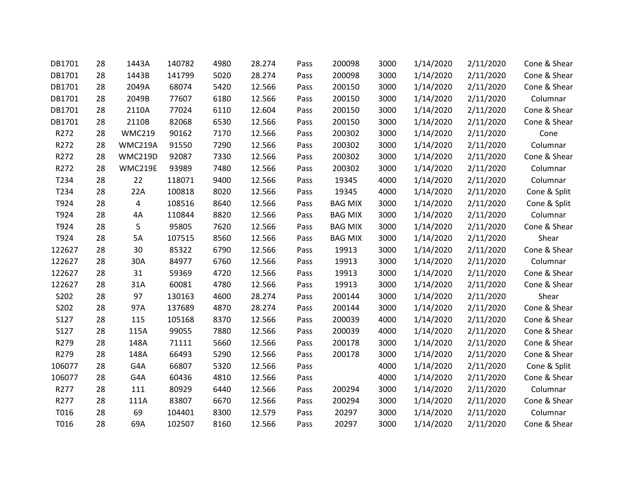| DB1701 | 28 | 1443A         | 140782 | 4980 | 28.274 | Pass | 200098         | 3000 | 1/14/2020 | 2/11/2020 | Cone & Shear |
|--------|----|---------------|--------|------|--------|------|----------------|------|-----------|-----------|--------------|
| DB1701 | 28 | 1443B         | 141799 | 5020 | 28.274 | Pass | 200098         | 3000 | 1/14/2020 | 2/11/2020 | Cone & Shear |
| DB1701 | 28 | 2049A         | 68074  | 5420 | 12.566 | Pass | 200150         | 3000 | 1/14/2020 | 2/11/2020 | Cone & Shear |
| DB1701 | 28 | 2049B         | 77607  | 6180 | 12.566 | Pass | 200150         | 3000 | 1/14/2020 | 2/11/2020 | Columnar     |
| DB1701 | 28 | 2110A         | 77024  | 6110 | 12.604 | Pass | 200150         | 3000 | 1/14/2020 | 2/11/2020 | Cone & Shear |
| DB1701 | 28 | 2110B         | 82068  | 6530 | 12.566 | Pass | 200150         | 3000 | 1/14/2020 | 2/11/2020 | Cone & Shear |
| R272   | 28 | <b>WMC219</b> | 90162  | 7170 | 12.566 | Pass | 200302         | 3000 | 1/14/2020 | 2/11/2020 | Cone         |
| R272   | 28 | WMC219A       | 91550  | 7290 | 12.566 | Pass | 200302         | 3000 | 1/14/2020 | 2/11/2020 | Columnar     |
| R272   | 28 | WMC219D       | 92087  | 7330 | 12.566 | Pass | 200302         | 3000 | 1/14/2020 | 2/11/2020 | Cone & Shear |
| R272   | 28 | WMC219E       | 93989  | 7480 | 12.566 | Pass | 200302         | 3000 | 1/14/2020 | 2/11/2020 | Columnar     |
| T234   | 28 | 22            | 118071 | 9400 | 12.566 | Pass | 19345          | 4000 | 1/14/2020 | 2/11/2020 | Columnar     |
| T234   | 28 | 22A           | 100818 | 8020 | 12.566 | Pass | 19345          | 4000 | 1/14/2020 | 2/11/2020 | Cone & Split |
| T924   | 28 | 4             | 108516 | 8640 | 12.566 | Pass | <b>BAG MIX</b> | 3000 | 1/14/2020 | 2/11/2020 | Cone & Split |
| T924   | 28 | 4A            | 110844 | 8820 | 12.566 | Pass | <b>BAG MIX</b> | 3000 | 1/14/2020 | 2/11/2020 | Columnar     |
| T924   | 28 | 5             | 95805  | 7620 | 12.566 | Pass | <b>BAG MIX</b> | 3000 | 1/14/2020 | 2/11/2020 | Cone & Shear |
| T924   | 28 | 5A            | 107515 | 8560 | 12.566 | Pass | <b>BAG MIX</b> | 3000 | 1/14/2020 | 2/11/2020 | Shear        |
| 122627 | 28 | 30            | 85322  | 6790 | 12.566 | Pass | 19913          | 3000 | 1/14/2020 | 2/11/2020 | Cone & Shear |
| 122627 | 28 | 30A           | 84977  | 6760 | 12.566 | Pass | 19913          | 3000 | 1/14/2020 | 2/11/2020 | Columnar     |
| 122627 | 28 | 31            | 59369  | 4720 | 12.566 | Pass | 19913          | 3000 | 1/14/2020 | 2/11/2020 | Cone & Shear |
| 122627 | 28 | 31A           | 60081  | 4780 | 12.566 | Pass | 19913          | 3000 | 1/14/2020 | 2/11/2020 | Cone & Shear |
| S202   | 28 | 97            | 130163 | 4600 | 28.274 | Pass | 200144         | 3000 | 1/14/2020 | 2/11/2020 | Shear        |
| S202   | 28 | 97A           | 137689 | 4870 | 28.274 | Pass | 200144         | 3000 | 1/14/2020 | 2/11/2020 | Cone & Shear |
| S127   | 28 | 115           | 105168 | 8370 | 12.566 | Pass | 200039         | 4000 | 1/14/2020 | 2/11/2020 | Cone & Shear |
| S127   | 28 | 115A          | 99055  | 7880 | 12.566 | Pass | 200039         | 4000 | 1/14/2020 | 2/11/2020 | Cone & Shear |
| R279   | 28 | 148A          | 71111  | 5660 | 12.566 | Pass | 200178         | 3000 | 1/14/2020 | 2/11/2020 | Cone & Shear |
| R279   | 28 | 148A          | 66493  | 5290 | 12.566 | Pass | 200178         | 3000 | 1/14/2020 | 2/11/2020 | Cone & Shear |
| 106077 | 28 | G4A           | 66807  | 5320 | 12.566 | Pass |                | 4000 | 1/14/2020 | 2/11/2020 | Cone & Split |
| 106077 | 28 | G4A           | 60436  | 4810 | 12.566 | Pass |                | 4000 | 1/14/2020 | 2/11/2020 | Cone & Shear |
| R277   | 28 | 111           | 80929  | 6440 | 12.566 | Pass | 200294         | 3000 | 1/14/2020 | 2/11/2020 | Columnar     |
| R277   | 28 | 111A          | 83807  | 6670 | 12.566 | Pass | 200294         | 3000 | 1/14/2020 | 2/11/2020 | Cone & Shear |
| T016   | 28 | 69            | 104401 | 8300 | 12.579 | Pass | 20297          | 3000 | 1/14/2020 | 2/11/2020 | Columnar     |
| T016   | 28 | 69A           | 102507 | 8160 | 12.566 | Pass | 20297          | 3000 | 1/14/2020 | 2/11/2020 | Cone & Shear |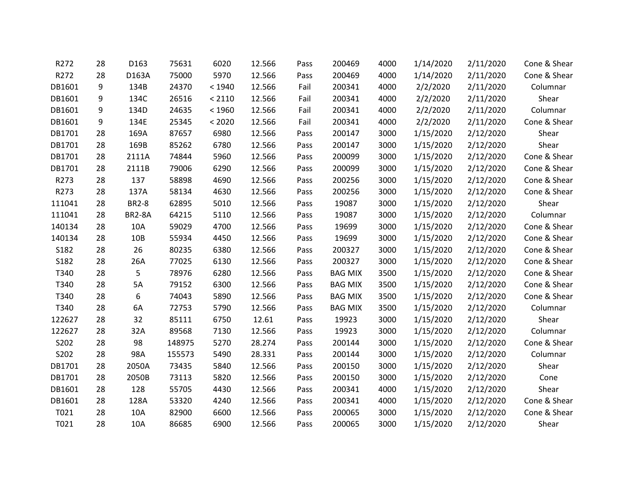| R272   | 28 | D163          | 75631  | 6020   | 12.566 | Pass | 200469         | 4000 | 1/14/2020 | 2/11/2020 | Cone & Shear |
|--------|----|---------------|--------|--------|--------|------|----------------|------|-----------|-----------|--------------|
| R272   | 28 | D163A         | 75000  | 5970   | 12.566 | Pass | 200469         | 4000 | 1/14/2020 | 2/11/2020 | Cone & Shear |
| DB1601 | 9  | 134B          | 24370  | < 1940 | 12.566 | Fail | 200341         | 4000 | 2/2/2020  | 2/11/2020 | Columnar     |
| DB1601 | 9  | 134C          | 26516  | < 2110 | 12.566 | Fail | 200341         | 4000 | 2/2/2020  | 2/11/2020 | Shear        |
| DB1601 | 9  | 134D          | 24635  | < 1960 | 12.566 | Fail | 200341         | 4000 | 2/2/2020  | 2/11/2020 | Columnar     |
| DB1601 | 9  | 134E          | 25345  | < 2020 | 12.566 | Fail | 200341         | 4000 | 2/2/2020  | 2/11/2020 | Cone & Shear |
| DB1701 | 28 | 169A          | 87657  | 6980   | 12.566 | Pass | 200147         | 3000 | 1/15/2020 | 2/12/2020 | Shear        |
| DB1701 | 28 | 169B          | 85262  | 6780   | 12.566 | Pass | 200147         | 3000 | 1/15/2020 | 2/12/2020 | Shear        |
| DB1701 | 28 | 2111A         | 74844  | 5960   | 12.566 | Pass | 200099         | 3000 | 1/15/2020 | 2/12/2020 | Cone & Shear |
| DB1701 | 28 | 2111B         | 79006  | 6290   | 12.566 | Pass | 200099         | 3000 | 1/15/2020 | 2/12/2020 | Cone & Shear |
| R273   | 28 | 137           | 58898  | 4690   | 12.566 | Pass | 200256         | 3000 | 1/15/2020 | 2/12/2020 | Cone & Shear |
| R273   | 28 | 137A          | 58134  | 4630   | 12.566 | Pass | 200256         | 3000 | 1/15/2020 | 2/12/2020 | Cone & Shear |
| 111041 | 28 | <b>BR2-8</b>  | 62895  | 5010   | 12.566 | Pass | 19087          | 3000 | 1/15/2020 | 2/12/2020 | Shear        |
| 111041 | 28 | <b>BR2-8A</b> | 64215  | 5110   | 12.566 | Pass | 19087          | 3000 | 1/15/2020 | 2/12/2020 | Columnar     |
| 140134 | 28 | 10A           | 59029  | 4700   | 12.566 | Pass | 19699          | 3000 | 1/15/2020 | 2/12/2020 | Cone & Shear |
| 140134 | 28 | 10B           | 55934  | 4450   | 12.566 | Pass | 19699          | 3000 | 1/15/2020 | 2/12/2020 | Cone & Shear |
| S182   | 28 | 26            | 80235  | 6380   | 12.566 | Pass | 200327         | 3000 | 1/15/2020 | 2/12/2020 | Cone & Shear |
| S182   | 28 | 26A           | 77025  | 6130   | 12.566 | Pass | 200327         | 3000 | 1/15/2020 | 2/12/2020 | Cone & Shear |
| T340   | 28 | 5             | 78976  | 6280   | 12.566 | Pass | <b>BAG MIX</b> | 3500 | 1/15/2020 | 2/12/2020 | Cone & Shear |
| T340   | 28 | 5A            | 79152  | 6300   | 12.566 | Pass | <b>BAG MIX</b> | 3500 | 1/15/2020 | 2/12/2020 | Cone & Shear |
| T340   | 28 | 6             | 74043  | 5890   | 12.566 | Pass | <b>BAG MIX</b> | 3500 | 1/15/2020 | 2/12/2020 | Cone & Shear |
| T340   | 28 | 6A            | 72753  | 5790   | 12.566 | Pass | <b>BAG MIX</b> | 3500 | 1/15/2020 | 2/12/2020 | Columnar     |
| 122627 | 28 | 32            | 85111  | 6750   | 12.61  | Pass | 19923          | 3000 | 1/15/2020 | 2/12/2020 | Shear        |
| 122627 | 28 | 32A           | 89568  | 7130   | 12.566 | Pass | 19923          | 3000 | 1/15/2020 | 2/12/2020 | Columnar     |
| S202   | 28 | 98            | 148975 | 5270   | 28.274 | Pass | 200144         | 3000 | 1/15/2020 | 2/12/2020 | Cone & Shear |
| S202   | 28 | 98A           | 155573 | 5490   | 28.331 | Pass | 200144         | 3000 | 1/15/2020 | 2/12/2020 | Columnar     |
| DB1701 | 28 | 2050A         | 73435  | 5840   | 12.566 | Pass | 200150         | 3000 | 1/15/2020 | 2/12/2020 | Shear        |
| DB1701 | 28 | 2050B         | 73113  | 5820   | 12.566 | Pass | 200150         | 3000 | 1/15/2020 | 2/12/2020 | Cone         |
| DB1601 | 28 | 128           | 55705  | 4430   | 12.566 | Pass | 200341         | 4000 | 1/15/2020 | 2/12/2020 | Shear        |
| DB1601 | 28 | 128A          | 53320  | 4240   | 12.566 | Pass | 200341         | 4000 | 1/15/2020 | 2/12/2020 | Cone & Shear |
| T021   | 28 | 10A           | 82900  | 6600   | 12.566 | Pass | 200065         | 3000 | 1/15/2020 | 2/12/2020 | Cone & Shear |
| T021   | 28 | 10A           | 86685  | 6900   | 12.566 | Pass | 200065         | 3000 | 1/15/2020 | 2/12/2020 | Shear        |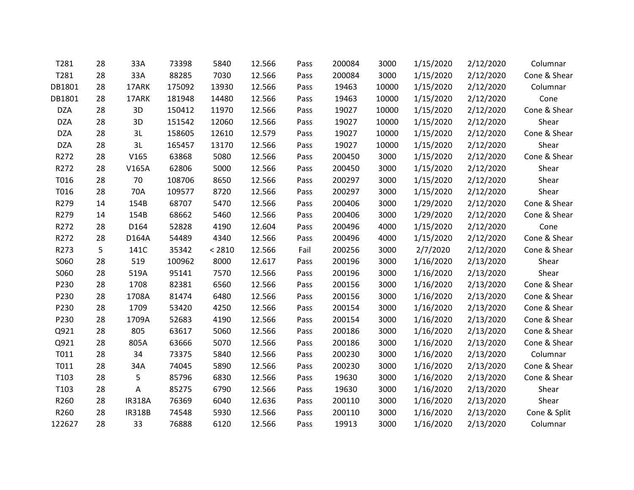| T281       | 28 | 33A           | 73398  | 5840   | 12.566 | Pass | 200084 | 3000  | 1/15/2020 | 2/12/2020 | Columnar     |
|------------|----|---------------|--------|--------|--------|------|--------|-------|-----------|-----------|--------------|
| T281       | 28 | 33A           | 88285  | 7030   | 12.566 | Pass | 200084 | 3000  | 1/15/2020 | 2/12/2020 | Cone & Shear |
| DB1801     | 28 | 17ARK         | 175092 | 13930  | 12.566 | Pass | 19463  | 10000 | 1/15/2020 | 2/12/2020 | Columnar     |
| DB1801     | 28 | 17ARK         | 181948 | 14480  | 12.566 | Pass | 19463  | 10000 | 1/15/2020 | 2/12/2020 | Cone         |
| <b>DZA</b> | 28 | 3D            | 150412 | 11970  | 12.566 | Pass | 19027  | 10000 | 1/15/2020 | 2/12/2020 | Cone & Shear |
| <b>DZA</b> | 28 | 3D            | 151542 | 12060  | 12.566 | Pass | 19027  | 10000 | 1/15/2020 | 2/12/2020 | Shear        |
| <b>DZA</b> | 28 | 3L            | 158605 | 12610  | 12.579 | Pass | 19027  | 10000 | 1/15/2020 | 2/12/2020 | Cone & Shear |
| <b>DZA</b> | 28 | 3L            | 165457 | 13170  | 12.566 | Pass | 19027  | 10000 | 1/15/2020 | 2/12/2020 | Shear        |
| R272       | 28 | V165          | 63868  | 5080   | 12.566 | Pass | 200450 | 3000  | 1/15/2020 | 2/12/2020 | Cone & Shear |
| R272       | 28 | V165A         | 62806  | 5000   | 12.566 | Pass | 200450 | 3000  | 1/15/2020 | 2/12/2020 | Shear        |
| T016       | 28 | 70            | 108706 | 8650   | 12.566 | Pass | 200297 | 3000  | 1/15/2020 | 2/12/2020 | Shear        |
| T016       | 28 | 70A           | 109577 | 8720   | 12.566 | Pass | 200297 | 3000  | 1/15/2020 | 2/12/2020 | Shear        |
| R279       | 14 | 154B          | 68707  | 5470   | 12.566 | Pass | 200406 | 3000  | 1/29/2020 | 2/12/2020 | Cone & Shear |
| R279       | 14 | 154B          | 68662  | 5460   | 12.566 | Pass | 200406 | 3000  | 1/29/2020 | 2/12/2020 | Cone & Shear |
| R272       | 28 | D164          | 52828  | 4190   | 12.604 | Pass | 200496 | 4000  | 1/15/2020 | 2/12/2020 | Cone         |
| R272       | 28 | D164A         | 54489  | 4340   | 12.566 | Pass | 200496 | 4000  | 1/15/2020 | 2/12/2020 | Cone & Shear |
| R273       | 5  | 141C          | 35342  | < 2810 | 12.566 | Fail | 200256 | 3000  | 2/7/2020  | 2/12/2020 | Cone & Shear |
| S060       | 28 | 519           | 100962 | 8000   | 12.617 | Pass | 200196 | 3000  | 1/16/2020 | 2/13/2020 | Shear        |
| S060       | 28 | 519A          | 95141  | 7570   | 12.566 | Pass | 200196 | 3000  | 1/16/2020 | 2/13/2020 | Shear        |
| P230       | 28 | 1708          | 82381  | 6560   | 12.566 | Pass | 200156 | 3000  | 1/16/2020 | 2/13/2020 | Cone & Shear |
| P230       | 28 | 1708A         | 81474  | 6480   | 12.566 | Pass | 200156 | 3000  | 1/16/2020 | 2/13/2020 | Cone & Shear |
| P230       | 28 | 1709          | 53420  | 4250   | 12.566 | Pass | 200154 | 3000  | 1/16/2020 | 2/13/2020 | Cone & Shear |
| P230       | 28 | 1709A         | 52683  | 4190   | 12.566 | Pass | 200154 | 3000  | 1/16/2020 | 2/13/2020 | Cone & Shear |
| Q921       | 28 | 805           | 63617  | 5060   | 12.566 | Pass | 200186 | 3000  | 1/16/2020 | 2/13/2020 | Cone & Shear |
| Q921       | 28 | 805A          | 63666  | 5070   | 12.566 | Pass | 200186 | 3000  | 1/16/2020 | 2/13/2020 | Cone & Shear |
| T011       | 28 | 34            | 73375  | 5840   | 12.566 | Pass | 200230 | 3000  | 1/16/2020 | 2/13/2020 | Columnar     |
| T011       | 28 | 34A           | 74045  | 5890   | 12.566 | Pass | 200230 | 3000  | 1/16/2020 | 2/13/2020 | Cone & Shear |
| T103       | 28 | 5             | 85796  | 6830   | 12.566 | Pass | 19630  | 3000  | 1/16/2020 | 2/13/2020 | Cone & Shear |
| T103       | 28 | A             | 85275  | 6790   | 12.566 | Pass | 19630  | 3000  | 1/16/2020 | 2/13/2020 | Shear        |
| R260       | 28 | <b>IR318A</b> | 76369  | 6040   | 12.636 | Pass | 200110 | 3000  | 1/16/2020 | 2/13/2020 | Shear        |
| R260       | 28 | <b>IR318B</b> | 74548  | 5930   | 12.566 | Pass | 200110 | 3000  | 1/16/2020 | 2/13/2020 | Cone & Split |
| 122627     | 28 | 33            | 76888  | 6120   | 12.566 | Pass | 19913  | 3000  | 1/16/2020 | 2/13/2020 | Columnar     |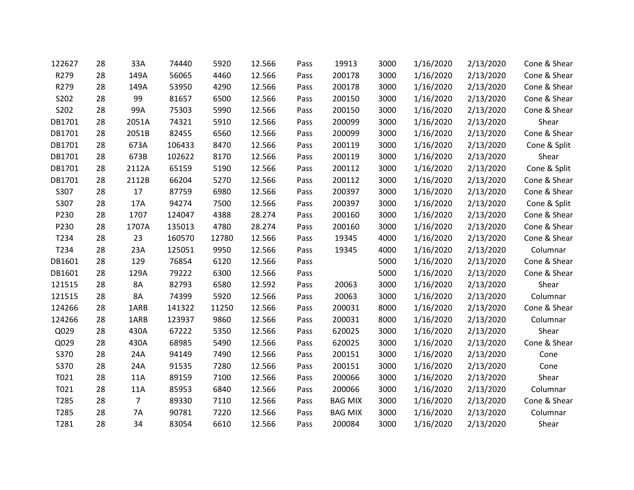| 122627 | 28 | 33A            | 74440  | 5920  | 12.566 | Pass | 19913          | 3000 | 1/16/2020 | 2/13/2020 | Cone & Shear |
|--------|----|----------------|--------|-------|--------|------|----------------|------|-----------|-----------|--------------|
| R279   | 28 | 149A           | 56065  | 4460  | 12.566 | Pass | 200178         | 3000 | 1/16/2020 | 2/13/2020 | Cone & Shear |
| R279   | 28 | 149A           | 53950  | 4290  | 12.566 | Pass | 200178         | 3000 | 1/16/2020 | 2/13/2020 | Cone & Shear |
| S202   | 28 | 99             | 81657  | 6500  | 12.566 | Pass | 200150         | 3000 | 1/16/2020 | 2/13/2020 | Cone & Shear |
| S202   | 28 | 99A            | 75303  | 5990  | 12.566 | Pass | 200150         | 3000 | 1/16/2020 | 2/13/2020 | Cone & Shear |
| DB1701 | 28 | 2051A          | 74321  | 5910  | 12.566 | Pass | 200099         | 3000 | 1/16/2020 | 2/13/2020 | Shear        |
| DB1701 | 28 | 2051B          | 82455  | 6560  | 12.566 | Pass | 200099         | 3000 | 1/16/2020 | 2/13/2020 | Cone & Shear |
| DB1701 | 28 | 673A           | 106433 | 8470  | 12.566 | Pass | 200119         | 3000 | 1/16/2020 | 2/13/2020 | Cone & Split |
| DB1701 | 28 | 673B           | 102622 | 8170  | 12.566 | Pass | 200119         | 3000 | 1/16/2020 | 2/13/2020 | Shear        |
| DB1701 | 28 | 2112A          | 65159  | 5190  | 12.566 | Pass | 200112         | 3000 | 1/16/2020 | 2/13/2020 | Cone & Split |
| DB1701 | 28 | 2112B          | 66204  | 5270  | 12.566 | Pass | 200112         | 3000 | 1/16/2020 | 2/13/2020 | Cone & Shear |
| S307   | 28 | 17             | 87759  | 6980  | 12.566 | Pass | 200397         | 3000 | 1/16/2020 | 2/13/2020 | Cone & Shear |
| S307   | 28 | 17A            | 94274  | 7500  | 12.566 | Pass | 200397         | 3000 | 1/16/2020 | 2/13/2020 | Cone & Split |
| P230   | 28 | 1707           | 124047 | 4388  | 28.274 | Pass | 200160         | 3000 | 1/16/2020 | 2/13/2020 | Cone & Shear |
| P230   | 28 | 1707A          | 135013 | 4780  | 28.274 | Pass | 200160         | 3000 | 1/16/2020 | 2/13/2020 | Cone & Shear |
| T234   | 28 | 23             | 160570 | 12780 | 12.566 | Pass | 19345          | 4000 | 1/16/2020 | 2/13/2020 | Cone & Shear |
| T234   | 28 | 23A            | 125051 | 9950  | 12.566 | Pass | 19345          | 4000 | 1/16/2020 | 2/13/2020 | Columnar     |
| DB1601 | 28 | 129            | 76854  | 6120  | 12.566 | Pass |                | 5000 | 1/16/2020 | 2/13/2020 | Cone & Shear |
| DB1601 | 28 | 129A           | 79222  | 6300  | 12.566 | Pass |                | 5000 | 1/16/2020 | 2/13/2020 | Cone & Shear |
| 121515 | 28 | 8A             | 82793  | 6580  | 12.592 | Pass | 20063          | 3000 | 1/16/2020 | 2/13/2020 | Shear        |
| 121515 | 28 | 8A             | 74399  | 5920  | 12.566 | Pass | 20063          | 3000 | 1/16/2020 | 2/13/2020 | Columnar     |
| 124266 | 28 | 1ARB           | 141322 | 11250 | 12.566 | Pass | 200031         | 8000 | 1/16/2020 | 2/13/2020 | Cone & Shear |
| 124266 | 28 | 1ARB           | 123937 | 9860  | 12.566 | Pass | 200031         | 8000 | 1/16/2020 | 2/13/2020 | Columnar     |
| Q029   | 28 | 430A           | 67222  | 5350  | 12.566 | Pass | 620025         | 3000 | 1/16/2020 | 2/13/2020 | Shear        |
| Q029   | 28 | 430A           | 68985  | 5490  | 12.566 | Pass | 620025         | 3000 | 1/16/2020 | 2/13/2020 | Cone & Shear |
| S370   | 28 | 24A            | 94149  | 7490  | 12.566 | Pass | 200151         | 3000 | 1/16/2020 | 2/13/2020 | Cone         |
| S370   | 28 | 24A            | 91535  | 7280  | 12.566 | Pass | 200151         | 3000 | 1/16/2020 | 2/13/2020 | Cone         |
| T021   | 28 | 11A            | 89159  | 7100  | 12.566 | Pass | 200066         | 3000 | 1/16/2020 | 2/13/2020 | Shear        |
| T021   | 28 | 11A            | 85953  | 6840  | 12.566 | Pass | 200066         | 3000 | 1/16/2020 | 2/13/2020 | Columnar     |
| T285   | 28 | $\overline{7}$ | 89330  | 7110  | 12.566 | Pass | <b>BAG MIX</b> | 3000 | 1/16/2020 | 2/13/2020 | Cone & Shear |
| T285   | 28 | 7A             | 90781  | 7220  | 12.566 | Pass | <b>BAG MIX</b> | 3000 | 1/16/2020 | 2/13/2020 | Columnar     |
| T281   | 28 | 34             | 83054  | 6610  | 12.566 | Pass | 200084         | 3000 | 1/16/2020 | 2/13/2020 | Shear        |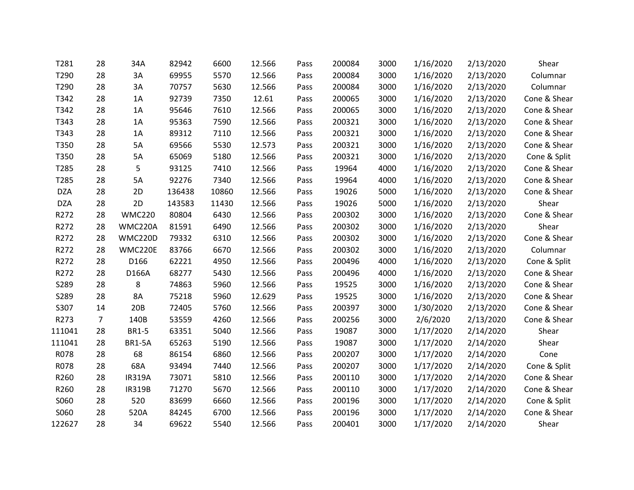| T281       | 28             | 34A           | 82942  | 6600  | 12.566 | Pass | 200084 | 3000 | 1/16/2020 | 2/13/2020 | Shear        |
|------------|----------------|---------------|--------|-------|--------|------|--------|------|-----------|-----------|--------------|
| T290       | 28             | 3A            | 69955  | 5570  | 12.566 | Pass | 200084 | 3000 | 1/16/2020 | 2/13/2020 | Columnar     |
| T290       | 28             | 3A            | 70757  | 5630  | 12.566 | Pass | 200084 | 3000 | 1/16/2020 | 2/13/2020 | Columnar     |
| T342       | 28             | 1A            | 92739  | 7350  | 12.61  | Pass | 200065 | 3000 | 1/16/2020 | 2/13/2020 | Cone & Shear |
| T342       | 28             | 1A            | 95646  | 7610  | 12.566 | Pass | 200065 | 3000 | 1/16/2020 | 2/13/2020 | Cone & Shear |
| T343       | 28             | 1A            | 95363  | 7590  | 12.566 | Pass | 200321 | 3000 | 1/16/2020 | 2/13/2020 | Cone & Shear |
| T343       | 28             | 1A            | 89312  | 7110  | 12.566 | Pass | 200321 | 3000 | 1/16/2020 | 2/13/2020 | Cone & Shear |
| T350       | 28             | 5A            | 69566  | 5530  | 12.573 | Pass | 200321 | 3000 | 1/16/2020 | 2/13/2020 | Cone & Shear |
| T350       | 28             | 5A            | 65069  | 5180  | 12.566 | Pass | 200321 | 3000 | 1/16/2020 | 2/13/2020 | Cone & Split |
| T285       | 28             | 5             | 93125  | 7410  | 12.566 | Pass | 19964  | 4000 | 1/16/2020 | 2/13/2020 | Cone & Shear |
| T285       | 28             | 5A            | 92276  | 7340  | 12.566 | Pass | 19964  | 4000 | 1/16/2020 | 2/13/2020 | Cone & Shear |
| <b>DZA</b> | 28             | 2D            | 136438 | 10860 | 12.566 | Pass | 19026  | 5000 | 1/16/2020 | 2/13/2020 | Cone & Shear |
| <b>DZA</b> | 28             | 2D            | 143583 | 11430 | 12.566 | Pass | 19026  | 5000 | 1/16/2020 | 2/13/2020 | Shear        |
| R272       | 28             | <b>WMC220</b> | 80804  | 6430  | 12.566 | Pass | 200302 | 3000 | 1/16/2020 | 2/13/2020 | Cone & Shear |
| R272       | 28             | WMC220A       | 81591  | 6490  | 12.566 | Pass | 200302 | 3000 | 1/16/2020 | 2/13/2020 | Shear        |
| R272       | 28             | WMC220D       | 79332  | 6310  | 12.566 | Pass | 200302 | 3000 | 1/16/2020 | 2/13/2020 | Cone & Shear |
| R272       | 28             | WMC220E       | 83766  | 6670  | 12.566 | Pass | 200302 | 3000 | 1/16/2020 | 2/13/2020 | Columnar     |
| R272       | 28             | D166          | 62221  | 4950  | 12.566 | Pass | 200496 | 4000 | 1/16/2020 | 2/13/2020 | Cone & Split |
| R272       | 28             | D166A         | 68277  | 5430  | 12.566 | Pass | 200496 | 4000 | 1/16/2020 | 2/13/2020 | Cone & Shear |
| S289       | 28             | 8             | 74863  | 5960  | 12.566 | Pass | 19525  | 3000 | 1/16/2020 | 2/13/2020 | Cone & Shear |
| S289       | 28             | 8A            | 75218  | 5960  | 12.629 | Pass | 19525  | 3000 | 1/16/2020 | 2/13/2020 | Cone & Shear |
| S307       | 14             | 20B           | 72405  | 5760  | 12.566 | Pass | 200397 | 3000 | 1/30/2020 | 2/13/2020 | Cone & Shear |
| R273       | $\overline{7}$ | 140B          | 53559  | 4260  | 12.566 | Pass | 200256 | 3000 | 2/6/2020  | 2/13/2020 | Cone & Shear |
| 111041     | 28             | <b>BR1-5</b>  | 63351  | 5040  | 12.566 | Pass | 19087  | 3000 | 1/17/2020 | 2/14/2020 | Shear        |
| 111041     | 28             | <b>BR1-5A</b> | 65263  | 5190  | 12.566 | Pass | 19087  | 3000 | 1/17/2020 | 2/14/2020 | Shear        |
| R078       | 28             | 68            | 86154  | 6860  | 12.566 | Pass | 200207 | 3000 | 1/17/2020 | 2/14/2020 | Cone         |
| R078       | 28             | 68A           | 93494  | 7440  | 12.566 | Pass | 200207 | 3000 | 1/17/2020 | 2/14/2020 | Cone & Split |
| R260       | 28             | <b>IR319A</b> | 73071  | 5810  | 12.566 | Pass | 200110 | 3000 | 1/17/2020 | 2/14/2020 | Cone & Shear |
| R260       | 28             | <b>IR319B</b> | 71270  | 5670  | 12.566 | Pass | 200110 | 3000 | 1/17/2020 | 2/14/2020 | Cone & Shear |
| S060       | 28             | 520           | 83699  | 6660  | 12.566 | Pass | 200196 | 3000 | 1/17/2020 | 2/14/2020 | Cone & Split |
| S060       | 28             | 520A          | 84245  | 6700  | 12.566 | Pass | 200196 | 3000 | 1/17/2020 | 2/14/2020 | Cone & Shear |
| 122627     | 28             | 34            | 69622  | 5540  | 12.566 | Pass | 200401 | 3000 | 1/17/2020 | 2/14/2020 | Shear        |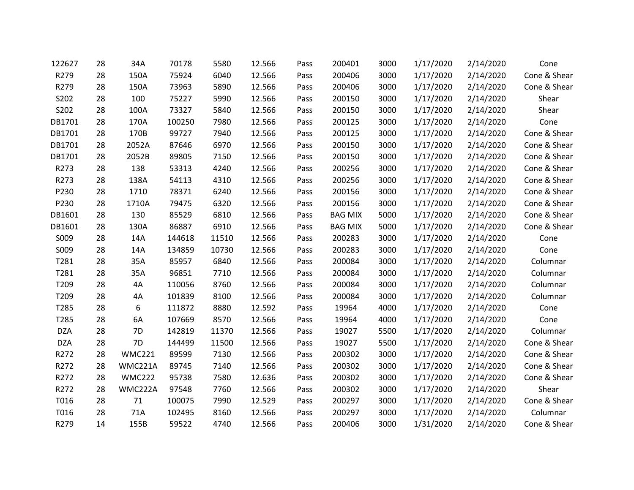| 122627     | 28 | 34A           | 70178  | 5580  | 12.566 | Pass | 200401         | 3000 | 1/17/2020 | 2/14/2020 | Cone         |
|------------|----|---------------|--------|-------|--------|------|----------------|------|-----------|-----------|--------------|
| R279       | 28 | 150A          | 75924  | 6040  | 12.566 | Pass | 200406         | 3000 | 1/17/2020 | 2/14/2020 | Cone & Shear |
| R279       | 28 | 150A          | 73963  | 5890  | 12.566 | Pass | 200406         | 3000 | 1/17/2020 | 2/14/2020 | Cone & Shear |
| S202       | 28 | 100           | 75227  | 5990  | 12.566 | Pass | 200150         | 3000 | 1/17/2020 | 2/14/2020 | Shear        |
| S202       | 28 | 100A          | 73327  | 5840  | 12.566 | Pass | 200150         | 3000 | 1/17/2020 | 2/14/2020 | Shear        |
| DB1701     | 28 | 170A          | 100250 | 7980  | 12.566 | Pass | 200125         | 3000 | 1/17/2020 | 2/14/2020 | Cone         |
| DB1701     | 28 | 170B          | 99727  | 7940  | 12.566 | Pass | 200125         | 3000 | 1/17/2020 | 2/14/2020 | Cone & Shear |
| DB1701     | 28 | 2052A         | 87646  | 6970  | 12.566 | Pass | 200150         | 3000 | 1/17/2020 | 2/14/2020 | Cone & Shear |
| DB1701     | 28 | 2052B         | 89805  | 7150  | 12.566 | Pass | 200150         | 3000 | 1/17/2020 | 2/14/2020 | Cone & Shear |
| R273       | 28 | 138           | 53313  | 4240  | 12.566 | Pass | 200256         | 3000 | 1/17/2020 | 2/14/2020 | Cone & Shear |
| R273       | 28 | 138A          | 54113  | 4310  | 12.566 | Pass | 200256         | 3000 | 1/17/2020 | 2/14/2020 | Cone & Shear |
| P230       | 28 | 1710          | 78371  | 6240  | 12.566 | Pass | 200156         | 3000 | 1/17/2020 | 2/14/2020 | Cone & Shear |
| P230       | 28 | 1710A         | 79475  | 6320  | 12.566 | Pass | 200156         | 3000 | 1/17/2020 | 2/14/2020 | Cone & Shear |
| DB1601     | 28 | 130           | 85529  | 6810  | 12.566 | Pass | <b>BAG MIX</b> | 5000 | 1/17/2020 | 2/14/2020 | Cone & Shear |
| DB1601     | 28 | 130A          | 86887  | 6910  | 12.566 | Pass | <b>BAG MIX</b> | 5000 | 1/17/2020 | 2/14/2020 | Cone & Shear |
| S009       | 28 | 14A           | 144618 | 11510 | 12.566 | Pass | 200283         | 3000 | 1/17/2020 | 2/14/2020 | Cone         |
| S009       | 28 | 14A           | 134859 | 10730 | 12.566 | Pass | 200283         | 3000 | 1/17/2020 | 2/14/2020 | Cone         |
| T281       | 28 | 35A           | 85957  | 6840  | 12.566 | Pass | 200084         | 3000 | 1/17/2020 | 2/14/2020 | Columnar     |
| T281       | 28 | 35A           | 96851  | 7710  | 12.566 | Pass | 200084         | 3000 | 1/17/2020 | 2/14/2020 | Columnar     |
| T209       | 28 | 4A            | 110056 | 8760  | 12.566 | Pass | 200084         | 3000 | 1/17/2020 | 2/14/2020 | Columnar     |
| T209       | 28 | 4A            | 101839 | 8100  | 12.566 | Pass | 200084         | 3000 | 1/17/2020 | 2/14/2020 | Columnar     |
| T285       | 28 | 6             | 111872 | 8880  | 12.592 | Pass | 19964          | 4000 | 1/17/2020 | 2/14/2020 | Cone         |
| T285       | 28 | 6A            | 107669 | 8570  | 12.566 | Pass | 19964          | 4000 | 1/17/2020 | 2/14/2020 | Cone         |
| <b>DZA</b> | 28 | 7D            | 142819 | 11370 | 12.566 | Pass | 19027          | 5500 | 1/17/2020 | 2/14/2020 | Columnar     |
| <b>DZA</b> | 28 | 7D            | 144499 | 11500 | 12.566 | Pass | 19027          | 5500 | 1/17/2020 | 2/14/2020 | Cone & Shear |
| R272       | 28 | <b>WMC221</b> | 89599  | 7130  | 12.566 | Pass | 200302         | 3000 | 1/17/2020 | 2/14/2020 | Cone & Shear |
| R272       | 28 | WMC221A       | 89745  | 7140  | 12.566 | Pass | 200302         | 3000 | 1/17/2020 | 2/14/2020 | Cone & Shear |
| R272       | 28 | <b>WMC222</b> | 95738  | 7580  | 12.636 | Pass | 200302         | 3000 | 1/17/2020 | 2/14/2020 | Cone & Shear |
| R272       | 28 | WMC222A       | 97548  | 7760  | 12.566 | Pass | 200302         | 3000 | 1/17/2020 | 2/14/2020 | Shear        |
| T016       | 28 | 71            | 100075 | 7990  | 12.529 | Pass | 200297         | 3000 | 1/17/2020 | 2/14/2020 | Cone & Shear |
| T016       | 28 | 71A           | 102495 | 8160  | 12.566 | Pass | 200297         | 3000 | 1/17/2020 | 2/14/2020 | Columnar     |
| R279       | 14 | 155B          | 59522  | 4740  | 12.566 | Pass | 200406         | 3000 | 1/31/2020 | 2/14/2020 | Cone & Shear |